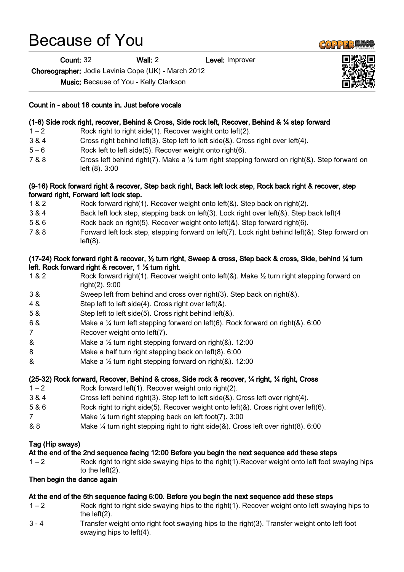# Because of You

Count: 32 Wall: 2 Level: Improver

Choreographer: Jodie Lavinia Cope (UK) - March 2012

Music: Because of You - Kelly Clarkson

## Count in - about 18 counts in. Just before vocals

## (1-8) Side rock right, recover, Behind & Cross, Side rock left, Recover, Behind & ¼ step forward

- 1 2 Rock right to right side(1). Recover weight onto left(2).
- 3 & 4 Cross right behind left(3). Step left to left side(&). Cross right over left(4).
- 5 6 Rock left to left side(5). Recover weight onto right(6).
- 7 & 8 Cross left behind right(7). Make a ¼ turn right stepping forward on right(&). Step forward on left (8). 3:00

#### (9-16) Rock forward right & recover, Step back right, Back left lock step, Rock back right & recover, step forward right, Forward left lock step.

- 1 & 2 Rock forward right(1). Recover weight onto left(&). Step back on right(2).
- 3 & 4 Back left lock step, stepping back on left(3). Lock right over left(&). Step back left(4
- 5 & 6 Rock back on right(5). Recover weight onto left(&). Step forward right(6).
- 7 & 8 Forward left lock step, stepping forward on left(7). Lock right behind left(&). Step forward on  $left(8)$ .

## (17-24) Rock forward right & recover, ½ turn right, Sweep & cross, Step back & cross, Side, behind ¼ turn left. Rock forward right & recover, 1 ½ turn right.

- 1 & 2 Rock forward right(1). Recover weight onto left(&). Make ½ turn right stepping forward on right(2). 9:00
- 3 & Sweep left from behind and cross over right(3). Step back on right(&).
- 4 & Step left to left side(4). Cross right over left(&).
- 5 & Step left to left side(5). Cross right behind left(&).
- 6 & Make a ¼ turn left stepping forward on left(6). Rock forward on right(&). 6:00
- 7 Recover weight onto left(7).
- & Make a ½ turn right stepping forward on right(&). 12:00
- 8 Make a half turn right stepping back on left(8). 6:00
- & Make a  $\frac{1}{2}$  turn right stepping forward on right(&), 12:00

## (25-32) Rock forward, Recover, Behind & cross, Side rock & recover, ¼ right, ¼ right, Cross

- 1 2 Rock forward left(1). Recover weight onto right(2).
- 3 & 4 Cross left behind right(3). Step left to left side(&). Cross left over right(4).
- 5 & 6 Rock right to right side(5). Recover weight onto left(&). Cross right over left(6).
- 7 Make ¼ turn right stepping back on left foot(7). 3:00
- & 8 Make ¼ turn right stepping right to right side(&). Cross left over right(8). 6:00

## Tag (Hip sways)

#### At the end of the 2nd sequence facing 12:00 Before you begin the next sequence add these steps

1 – 2 Rock right to right side swaying hips to the right(1).Recover weight onto left foot swaying hips to the left(2).

## Then begin the dance again

#### At the end of the 5th sequence facing 6:00. Before you begin the next sequence add these steps

- 1 2 Rock right to right side swaying hips to the right(1). Recover weight onto left swaying hips to the left(2).
- 3 4 Transfer weight onto right foot swaying hips to the right(3). Transfer weight onto left foot swaying hips to left(4).